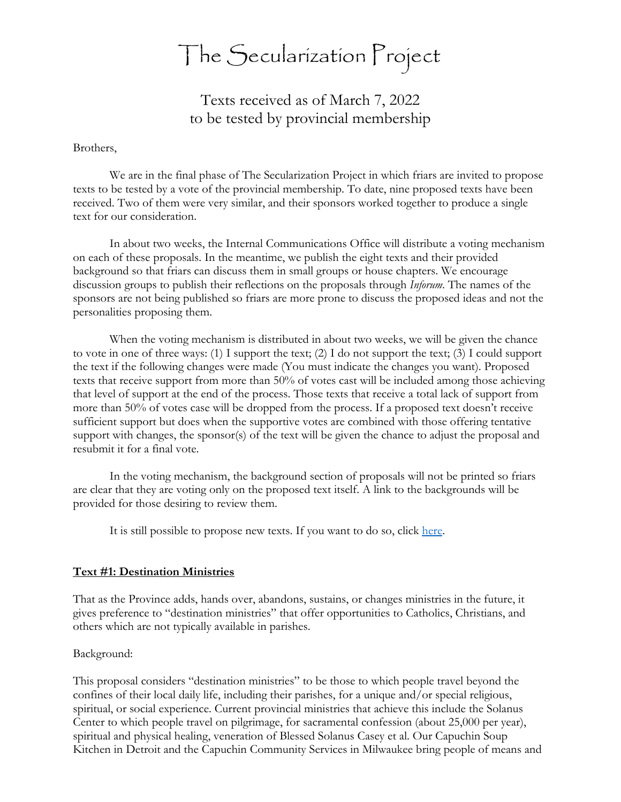# The Secularization Project

Texts received as of March 7, 2022 to be tested by provincial membership

#### Brothers,

We are in the final phase of The Secularization Project in which friars are invited to propose texts to be tested by a vote of the provincial membership. To date, nine proposed texts have been received. Two of them were very similar, and their sponsors worked together to produce a single text for our consideration.

In about two weeks, the Internal Communications Office will distribute a voting mechanism on each of these proposals. In the meantime, we publish the eight texts and their provided background so that friars can discuss them in small groups or house chapters. We encourage discussion groups to publish their reflections on the proposals through *Inforum*. The names of the sponsors are not being published so friars are more prone to discuss the proposed ideas and not the personalities proposing them.

 When the voting mechanism is distributed in about two weeks, we will be given the chance to vote in one of three ways: (1) I support the text; (2) I do not support the text; (3) I could support the text if the following changes were made (You must indicate the changes you want). Proposed texts that receive support from more than 50% of votes cast will be included among those achieving that level of support at the end of the process. Those texts that receive a total lack of support from more than 50% of votes case will be dropped from the process. If a proposed text doesn't receive sufficient support but does when the supportive votes are combined with those offering tentative support with changes, the sponsor(s) of the text will be given the chance to adjust the proposal and resubmit it for a final vote.

 In the voting mechanism, the background section of proposals will not be printed so friars are clear that they are voting only on the proposed text itself. A link to the backgrounds will be provided for those desiring to review them.

It is still possible to propose new texts. If you want to do so, click [here.](https://docs.google.com/forms/d/e/1FAIpQLSfdHFxmD5qkwevfn0RfHhndzjS8hrLPLHzkhkiENnE3uaARCg/viewform)

## **Text #1: Destination Ministries**

That as the Province adds, hands over, abandons, sustains, or changes ministries in the future, it gives preference to "destination ministries" that offer opportunities to Catholics, Christians, and others which are not typically available in parishes.

## Background:

This proposal considers "destination ministries" to be those to which people travel beyond the confines of their local daily life, including their parishes, for a unique and/or special religious, spiritual, or social experience. Current provincial ministries that achieve this include the Solanus Center to which people travel on pilgrimage, for sacramental confession (about 25,000 per year), spiritual and physical healing, veneration of Blessed Solanus Casey et al. Our Capuchin Soup Kitchen in Detroit and the Capuchin Community Services in Milwaukee bring people of means and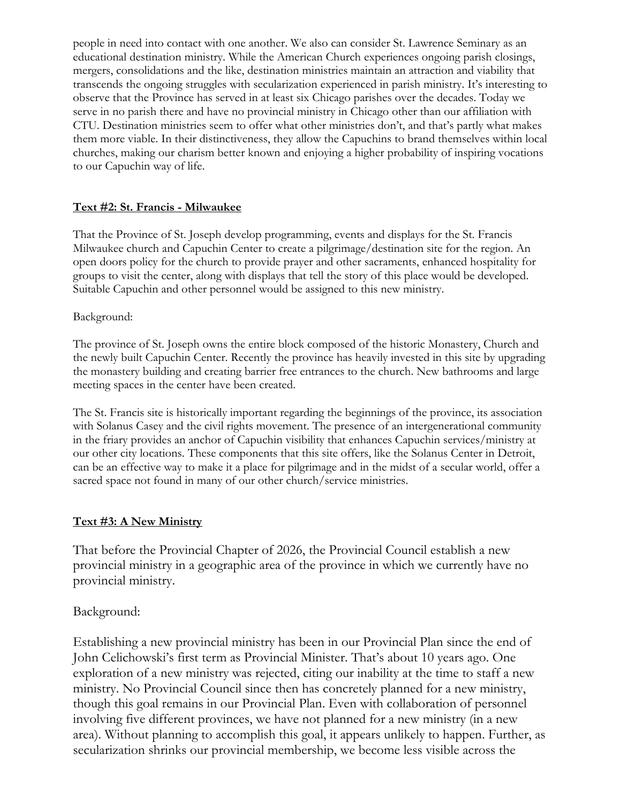people in need into contact with one another. We also can consider St. Lawrence Seminary as an educational destination ministry. While the American Church experiences ongoing parish closings, mergers, consolidations and the like, destination ministries maintain an attraction and viability that transcends the ongoing struggles with secularization experienced in parish ministry. It's interesting to observe that the Province has served in at least six Chicago parishes over the decades. Today we serve in no parish there and have no provincial ministry in Chicago other than our affiliation with CTU. Destination ministries seem to offer what other ministries don't, and that's partly what makes them more viable. In their distinctiveness, they allow the Capuchins to brand themselves within local churches, making our charism better known and enjoying a higher probability of inspiring vocations to our Capuchin way of life.

# **Text #2: St. Francis - Milwaukee**

That the Province of St. Joseph develop programming, events and displays for the St. Francis Milwaukee church and Capuchin Center to create a pilgrimage/destination site for the region. An open doors policy for the church to provide prayer and other sacraments, enhanced hospitality for groups to visit the center, along with displays that tell the story of this place would be developed. Suitable Capuchin and other personnel would be assigned to this new ministry.

## Background:

The province of St. Joseph owns the entire block composed of the historic Monastery, Church and the newly built Capuchin Center. Recently the province has heavily invested in this site by upgrading the monastery building and creating barrier free entrances to the church. New bathrooms and large meeting spaces in the center have been created.

The St. Francis site is historically important regarding the beginnings of the province, its association with Solanus Casey and the civil rights movement. The presence of an intergenerational community in the friary provides an anchor of Capuchin visibility that enhances Capuchin services/ministry at our other city locations. These components that this site offers, like the Solanus Center in Detroit, can be an effective way to make it a place for pilgrimage and in the midst of a secular world, offer a sacred space not found in many of our other church/service ministries.

## **Text #3: A New Ministry**

That before the Provincial Chapter of 2026, the Provincial Council establish a new provincial ministry in a geographic area of the province in which we currently have no provincial ministry.

# Background:

Establishing a new provincial ministry has been in our Provincial Plan since the end of John Celichowski's first term as Provincial Minister. That's about 10 years ago. One exploration of a new ministry was rejected, citing our inability at the time to staff a new ministry. No Provincial Council since then has concretely planned for a new ministry, though this goal remains in our Provincial Plan. Even with collaboration of personnel involving five different provinces, we have not planned for a new ministry (in a new area). Without planning to accomplish this goal, it appears unlikely to happen. Further, as secularization shrinks our provincial membership, we become less visible across the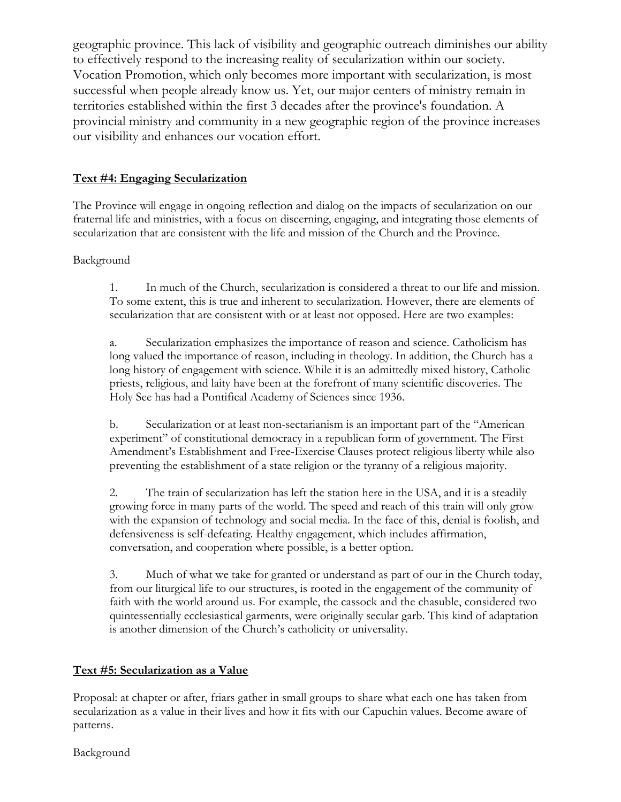geographic province. This lack of visibility and geographic outreach diminishes our ability to effectively respond to the increasing reality of secularization within our society. Vocation Promotion, which only becomes more important with secularization, is most successful when people already know us. Yet, our major centers of ministry remain in territories established within the first 3 decades after the province's foundation. A provincial ministry and community in a new geographic region of the province increases our visibility and enhances our vocation effort.

# **Text #4: Engaging Secularization**

The Province will engage in ongoing reflection and dialog on the impacts of secularization on our fraternal life and ministries, with a focus on discerning, engaging, and integrating those elements of secularization that are consistent with the life and mission of the Church and the Province.

## Background

1. In much of the Church, secularization is considered a threat to our life and mission. To some extent, this is true and inherent to secularization. However, there are elements of secularization that are consistent with or at least not opposed. Here are two examples:

a. Secularization emphasizes the importance of reason and science. Catholicism has long valued the importance of reason, including in theology. In addition, the Church has a long history of engagement with science. While it is an admittedly mixed history, Catholic priests, religious, and laity have been at the forefront of many scientific discoveries. The Holy See has had a Pontifical Academy of Sciences since 1936.

b. Secularization or at least non-sectarianism is an important part of the "American experiment" of constitutional democracy in a republican form of government. The First Amendment's Establishment and Free-Exercise Clauses protect religious liberty while also preventing the establishment of a state religion or the tyranny of a religious majority.

2. The train of secularization has left the station here in the USA, and it is a steadily growing force in many parts of the world. The speed and reach of this train will only grow with the expansion of technology and social media. In the face of this, denial is foolish, and defensiveness is self-defeating. Healthy engagement, which includes affirmation, conversation, and cooperation where possible, is a better option.

3. Much of what we take for granted or understand as part of our in the Church today, from our liturgical life to our structures, is rooted in the engagement of the community of faith with the world around us. For example, the cassock and the chasuble, considered two quintessentially ecclesiastical garments, were originally secular garb. This kind of adaptation is another dimension of the Church's catholicity or universality.

# **Text #5: Secularization as a Value**

Proposal: at chapter or after, friars gather in small groups to share what each one has taken from secularization as a value in their lives and how it fits with our Capuchin values. Become aware of patterns.

Background